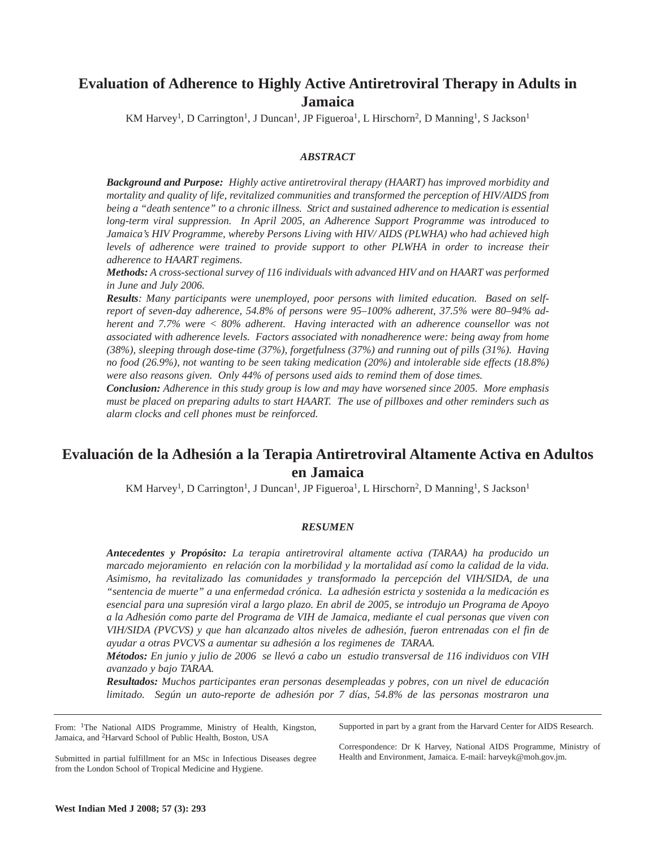# **Evaluation of Adherence to Highly Active Antiretroviral Therapy in Adults in Jamaica**

KM Harvey<sup>1</sup>, D Carrington<sup>1</sup>, J Duncan<sup>1</sup>, JP Figueroa<sup>1</sup>, L Hirschorn<sup>2</sup>, D Manning<sup>1</sup>, S Jackson<sup>1</sup>

#### *ABSTRACT*

*Background and Purpose: Highly active antiretroviral therapy (HAART) has improved morbidity and mortality and quality of life, revitalized communities and transformed the perception of HIV/AIDS from being a "death sentence" to a chronic illness. Strict and sustained adherence to medication is essential long-term viral suppression. In April 2005, an Adherence Support Programme was introduced to Jamaica's HIV Programme, whereby Persons Living with HIV/ AIDS (PLWHA) who had achieved high levels of adherence were trained to provide support to other PLWHA in order to increase their adherence to HAART regimens.* 

*Methods: A cross-sectional survey of 116 individuals with advanced HIV and on HAART was performed in June and July 2006.* 

*Results: Many participants were unemployed, poor persons with limited education. Based on selfreport of seven-day adherence, 54.8% of persons were 95–100% adherent, 37.5% were 80–94% adherent and 7.7% were < 80% adherent. Having interacted with an adherence counsellor was not associated with adherence levels. Factors associated with nonadherence were: being away from home (38%), sleeping through dose-time (37%), forgetfulness (37%) and running out of pills (31%). Having no food (26.9%), not wanting to be seen taking medication (20%) and intolerable side effects (18.8%) were also reasons given. Only 44% of persons used aids to remind them of dose times.*

*Conclusion: Adherence in this study group is low and may have worsened since 2005. More emphasis must be placed on preparing adults to start HAART. The use of pillboxes and other reminders such as alarm clocks and cell phones must be reinforced.*

## **Evaluación de la Adhesión a la Terapia Antiretroviral Altamente Activa en Adultos en Jamaica**

KM Harvey<sup>1</sup>, D Carrington<sup>1</sup>, J Duncan<sup>1</sup>, JP Figueroa<sup>1</sup>, L Hirschorn<sup>2</sup>, D Manning<sup>1</sup>, S Jackson<sup>1</sup>

#### *RESUMEN*

*Antecedentes y Propósito: La terapia antiretroviral altamente activa (TARAA) ha producido un marcado mejoramiento en relación con la morbilidad y la mortalidad así como la calidad de la vida. Asimismo, ha revitalizado las comunidades y transformado la percepción del VIH/SIDA, de una "sentencia de muerte" a una enfermedad crónica. La adhesión estricta y sostenida a la medicación es esencial para una supresión viral a largo plazo. En abril de 2005, se introdujo un Programa de Apoyo a la Adhesión como parte del Programa de VIH de Jamaica, mediante el cual personas que viven con VIH/SIDA (PVCVS) y que han alcanzado altos niveles de adhesión, fueron entrenadas con el fin de ayudar a otras PVCVS a aumentar su adhesión a los regimenes de TARAA.* 

*Métodos: En junio y julio de 2006 se llevó a cabo un estudio transversal de 116 individuos con VIH avanzado y bajo TARAA.* 

*Resultados: Muchos participantes eran personas desempleadas y pobres, con un nivel de educación limitado. Según un auto-reporte de adhesión por 7 días, 54.8% de las personas mostraron una*

From: <sup>1</sup>The National AIDS Programme, Ministry of Health, Kingston, Jamaica, and 2Harvard School of Public Health, Boston, USA

Supported in part by a grant from the Harvard Center for AIDS Research.

Submitted in partial fulfillment for an MSc in Infectious Diseases degree from the London School of Tropical Medicine and Hygiene.

Correspondence: Dr K Harvey, National AIDS Programme, Ministry of Health and Environment, Jamaica. E-mail: harveyk@moh.gov.jm.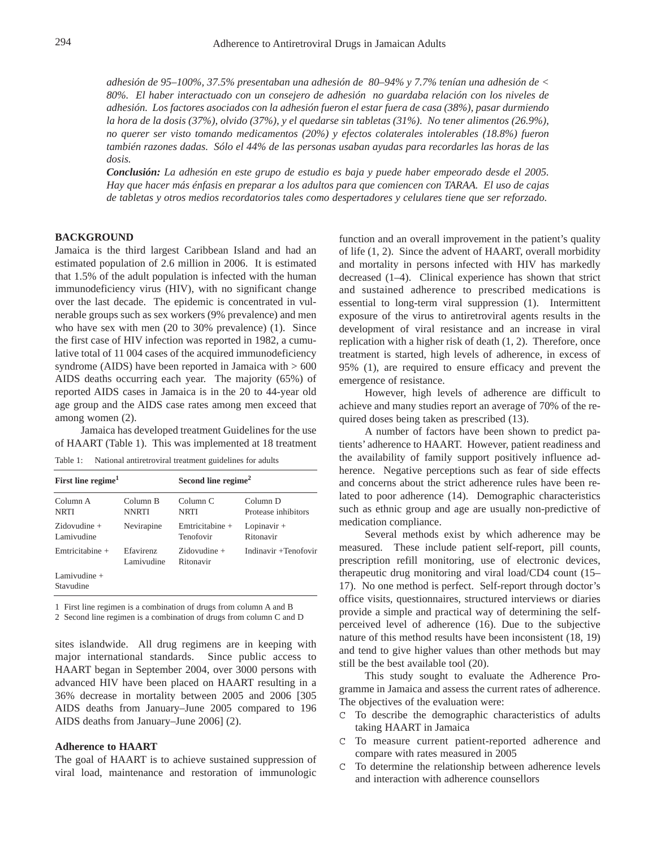*adhesión de 95–100%, 37.5% presentaban una adhesión de 80–94% y 7.7% tenían una adhesión de < 80%. El haber interactuado con un consejero de adhesión no guardaba relación con los niveles de adhesión. Los factores asociados con la adhesión fueron el estar fuera de casa (38%), pasar durmiendo la hora de la dosis (37%), olvido (37%), y el quedarse sin tabletas (31%). No tener alimentos (26.9%), no querer ser visto tomando medicamentos (20%) y efectos colaterales intolerables (18.8%) fueron también razones dadas. Sólo el 44% de las personas usaban ayudas para recordarles las horas de las dosis.* 

*Conclusión: La adhesión en este grupo de estudio es baja y puede haber empeorado desde el 2005. Hay que hacer más énfasis en preparar a los adultos para que comiencen con TARAA. El uso de cajas de tabletas y otros medios recordatorios tales como despertadores y celulares tiene que ser reforzado.*

#### **BACKGROUND**

Jamaica is the third largest Caribbean Island and had an estimated population of 2.6 million in 2006. It is estimated that 1.5% of the adult population is infected with the human immunodeficiency virus (HIV), with no significant change over the last decade. The epidemic is concentrated in vulnerable groups such as sex workers (9% prevalence) and men who have sex with men (20 to 30% prevalence) (1). Since the first case of HIV infection was reported in 1982, a cumulative total of 11 004 cases of the acquired immunodeficiency syndrome (AIDS) have been reported in Jamaica with  $> 600$ AIDS deaths occurring each year. The majority (65%) of reported AIDS cases in Jamaica is in the 20 to 44-year old age group and the AIDS case rates among men exceed that among women (2).

Jamaica has developed treatment Guidelines for the use of HAART (Table 1). This was implemented at 18 treatment

Table 1: National antiretroviral treatment guidelines for adults

| First line regime <sup>1</sup> |                          | Second line regime <sup>2</sup> |                                 |
|--------------------------------|--------------------------|---------------------------------|---------------------------------|
| Column A<br><b>NRTI</b>        | Column B<br><b>NNRTI</b> | Column <sub>C</sub><br>NRTI     | Column D<br>Protease inhibitors |
| $Zidovudine +$<br>Lamivudine   | Nevirapine               | Emtricitabine +<br>Tenofovir    | Lopinavir $+$<br>Ritonavir      |
| Emtricitabine $+$              | Efavirenz<br>Lamivudine  | $Zidovudine +$<br>Ritonavir     | Indinavir +Tenofovir            |
| Lamivudine $+$<br>Stavudine    |                          |                                 |                                 |

1 First line regimen is a combination of drugs from column A and B

2 Second line regimen is a combination of drugs from column C and D

sites islandwide. All drug regimens are in keeping with major international standards. Since public access to HAART began in September 2004, over 3000 persons with advanced HIV have been placed on HAART resulting in a 36% decrease in mortality between 2005 and 2006 [305 AIDS deaths from January–June 2005 compared to 196 AIDS deaths from January–June 2006] (2).

#### **Adherence to HAART**

The goal of HAART is to achieve sustained suppression of viral load, maintenance and restoration of immunologic function and an overall improvement in the patient's quality of life (1, 2). Since the advent of HAART, overall morbidity and mortality in persons infected with HIV has markedly decreased (1–4). Clinical experience has shown that strict and sustained adherence to prescribed medications is essential to long-term viral suppression (1). Intermittent exposure of the virus to antiretroviral agents results in the development of viral resistance and an increase in viral replication with a higher risk of death (1, 2). Therefore, once treatment is started, high levels of adherence, in excess of 95% (1), are required to ensure efficacy and prevent the emergence of resistance.

However, high levels of adherence are difficult to achieve and many studies report an average of 70% of the required doses being taken as prescribed (13).

A number of factors have been shown to predict patients' adherence to HAART. However, patient readiness and the availability of family support positively influence adherence. Negative perceptions such as fear of side effects and concerns about the strict adherence rules have been related to poor adherence (14). Demographic characteristics such as ethnic group and age are usually non-predictive of medication compliance.

Several methods exist by which adherence may be measured. These include patient self-report, pill counts, prescription refill monitoring, use of electronic devices, therapeutic drug monitoring and viral load/CD4 count (15– 17). No one method is perfect. Self-report through doctor's office visits, questionnaires, structured interviews or diaries provide a simple and practical way of determining the selfperceived level of adherence (16). Due to the subjective nature of this method results have been inconsistent (18, 19) and tend to give higher values than other methods but may still be the best available tool (20).

This study sought to evaluate the Adherence Programme in Jamaica and assess the current rates of adherence. The objectives of the evaluation were:

- C To describe the demographic characteristics of adults taking HAART in Jamaica
- C To measure current patient-reported adherence and compare with rates measured in 2005
- C To determine the relationship between adherence levels and interaction with adherence counsellors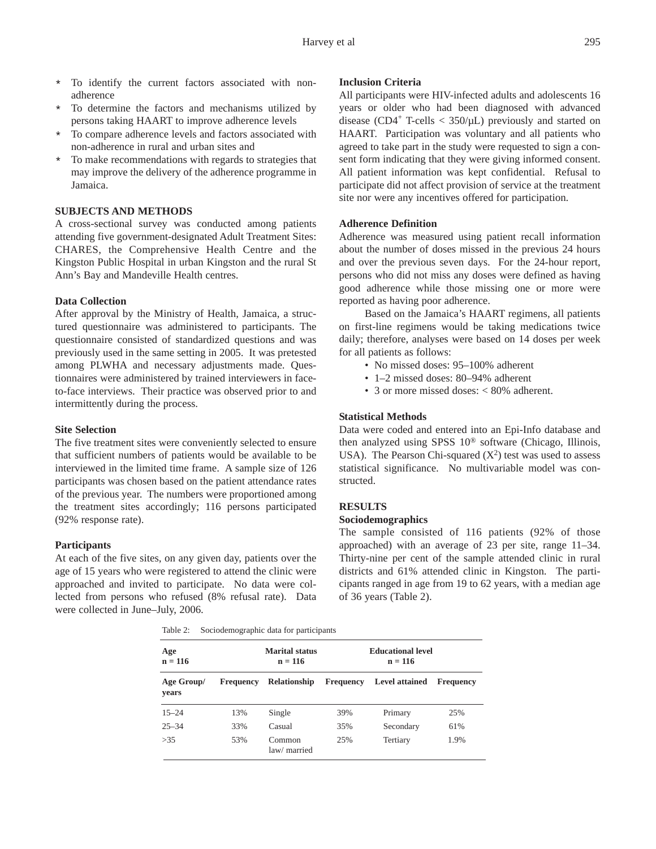- \* To identify the current factors associated with nonadherence
- \* To determine the factors and mechanisms utilized by persons taking HAART to improve adherence levels
- \* To compare adherence levels and factors associated with non-adherence in rural and urban sites and
- \* To make recommendations with regards to strategies that may improve the delivery of the adherence programme in Jamaica.

## **SUBJECTS AND METHODS**

A cross-sectional survey was conducted among patients attending five government-designated Adult Treatment Sites: CHARES, the Comprehensive Health Centre and the Kingston Public Hospital in urban Kingston and the rural St Ann's Bay and Mandeville Health centres.

## **Data Collection**

After approval by the Ministry of Health, Jamaica, a structured questionnaire was administered to participants. The questionnaire consisted of standardized questions and was previously used in the same setting in 2005. It was pretested among PLWHA and necessary adjustments made. Questionnaires were administered by trained interviewers in faceto-face interviews. Their practice was observed prior to and intermittently during the process.

#### **Site Selection**

The five treatment sites were conveniently selected to ensure that sufficient numbers of patients would be available to be interviewed in the limited time frame. A sample size of 126 participants was chosen based on the patient attendance rates of the previous year. The numbers were proportioned among the treatment sites accordingly; 116 persons participated (92% response rate).

#### **Participants**

At each of the five sites, on any given day, patients over the age of 15 years who were registered to attend the clinic were approached and invited to participate. No data were collected from persons who refused (8% refusal rate). Data were collected in June–July, 2006.

## **Inclusion Criteria**

All participants were HIV-infected adults and adolescents 16 years or older who had been diagnosed with advanced disease (CD4<sup>+</sup> T-cells  $<$  350/ $\mu$ L) previously and started on HAART. Participation was voluntary and all patients who agreed to take part in the study were requested to sign a consent form indicating that they were giving informed consent. All patient information was kept confidential. Refusal to participate did not affect provision of service at the treatment site nor were any incentives offered for participation.

## **Adherence Definition**

Adherence was measured using patient recall information about the number of doses missed in the previous 24 hours and over the previous seven days. For the 24-hour report, persons who did not miss any doses were defined as having good adherence while those missing one or more were reported as having poor adherence.

Based on the Jamaica's HAART regimens, all patients on first-line regimens would be taking medications twice daily; therefore, analyses were based on 14 doses per week for all patients as follows:

- No missed doses: 95–100% adherent
- 1–2 missed doses: 80–94% adherent
- 3 or more missed doses: < 80% adherent.

#### **Statistical Methods**

Data were coded and entered into an Epi-Info database and then analyzed using SPSS 10® software (Chicago, Illinois, USA). The Pearson Chi-squared  $(X^2)$  test was used to assess statistical significance. No multivariable model was constructed.

## **RESULTS**

## **Sociodemographics**

The sample consisted of 116 patients (92% of those approached) with an average of 23 per site, range 11–34. Thirty-nine per cent of the sample attended clinic in rural districts and 61% attended clinic in Kingston. The participants ranged in age from 19 to 62 years, with a median age of 36 years (Table 2).

|  | Table 2: | Sociodemographic data for participants |  |  |
|--|----------|----------------------------------------|--|--|
|--|----------|----------------------------------------|--|--|

| Age<br>$n = 116$    |           | <b>Marital status</b><br>$n = 116$ | <b>Educational level</b><br>$n = 116$ |                       |                  |
|---------------------|-----------|------------------------------------|---------------------------------------|-----------------------|------------------|
| Age Group/<br>years | Frequency | <b>Relationship</b>                | <b>Frequency</b>                      | <b>Level attained</b> | <b>Frequency</b> |
| $15 - 24$           | 13%       | Single                             | 39%                                   | Primary               | 25%              |
| $25 - 34$           | 33%       | Casual                             | 35%                                   | Secondary             | 61%              |
| >35                 | 53%       | Common<br>law/ married             | 25%                                   | Tertiary              | 1.9%             |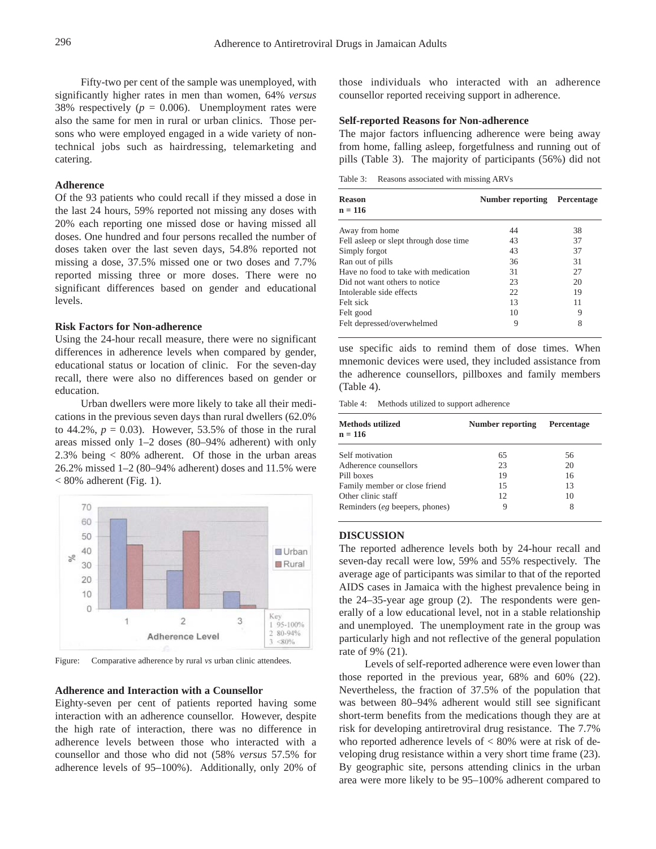Fifty-two per cent of the sample was unemployed, with significantly higher rates in men than women, 64% *versus* 38% respectively ( $p = 0.006$ ). Unemployment rates were also the same for men in rural or urban clinics. Those persons who were employed engaged in a wide variety of nontechnical jobs such as hairdressing, telemarketing and catering.

## **Adherence**

Of the 93 patients who could recall if they missed a dose in the last 24 hours, 59% reported not missing any doses with 20% each reporting one missed dose or having missed all doses. One hundred and four persons recalled the number of doses taken over the last seven days, 54.8% reported not missing a dose, 37.5% missed one or two doses and 7.7% reported missing three or more doses. There were no significant differences based on gender and educational levels.

## **Risk Factors for Non-adherence**

Using the 24-hour recall measure, there were no significant differences in adherence levels when compared by gender, educational status or location of clinic. For the seven-day recall, there were also no differences based on gender or education.

Urban dwellers were more likely to take all their medications in the previous seven days than rural dwellers (62.0% to 44.2%,  $p = 0.03$ ). However, 53.5% of those in the rural areas missed only 1–2 doses (80–94% adherent) with only 2.3% being < 80% adherent. Of those in the urban areas 26.2% missed 1–2 (80–94% adherent) doses and 11.5% were  $< 80\%$  adherent (Fig. 1).



Figure: Comparative adherence by rural *vs* urban clinic attendees.

#### **Adherence and Interaction with a Counsellor**

Eighty-seven per cent of patients reported having some interaction with an adherence counsellor. However, despite the high rate of interaction, there was no difference in adherence levels between those who interacted with a counsellor and those who did not (58% *versus* 57.5% for adherence levels of 95–100%). Additionally, only 20% of those individuals who interacted with an adherence counsellor reported receiving support in adherence.

#### **Self-reported Reasons for Non-adherence**

The major factors influencing adherence were being away from home, falling asleep, forgetfulness and running out of pills (Table 3). The majority of participants (56%) did not

Table 3: Reasons associated with missing ARVs

| <b>Reason</b><br>$n = 116$              | Number reporting | Percentage |
|-----------------------------------------|------------------|------------|
| Away from home                          | 44               | 38         |
| Fell as leep or slept through dose time | 43               | 37         |
| Simply forgot                           | 43               | 37         |
| Ran out of pills                        | 36               | 31         |
| Have no food to take with medication    | 31               | 27         |
| Did not want others to notice           | 23               | 20         |
| Intolerable side effects                | 22               | 19         |
| Felt sick                               | 13               | 11         |
| Felt good                               | 10               | 9          |
| Felt depressed/overwhelmed              | 9                | 8          |

use specific aids to remind them of dose times. When mnemonic devices were used, they included assistance from the adherence counsellors, pillboxes and family members (Table 4).

Table 4: Methods utilized to support adherence

| <b>Methods utilized</b><br>$n = 116$ | Number reporting | Percentage |
|--------------------------------------|------------------|------------|
| Self motivation                      | 65               | 56         |
| Adherence counsellors                | 23               | 20         |
| Pill boxes                           | 19               | 16         |
| Family member or close friend        | 15               | 13         |
| Other clinic staff                   | 12               | 10         |
| Reminders (eg beepers, phones)       | 9                | 8          |

#### **DISCUSSION**

The reported adherence levels both by 24-hour recall and seven-day recall were low, 59% and 55% respectively. The average age of participants was similar to that of the reported AIDS cases in Jamaica with the highest prevalence being in the 24–35-year age group (2). The respondents were generally of a low educational level, not in a stable relationship and unemployed. The unemployment rate in the group was particularly high and not reflective of the general population rate of 9% (21).

Levels of self-reported adherence were even lower than those reported in the previous year, 68% and 60% (22). Nevertheless, the fraction of 37.5% of the population that was between 80–94% adherent would still see significant short-term benefits from the medications though they are at risk for developing antiretroviral drug resistance. The 7.7% who reported adherence levels of  $< 80\%$  were at risk of developing drug resistance within a very short time frame (23). By geographic site, persons attending clinics in the urban area were more likely to be 95–100% adherent compared to